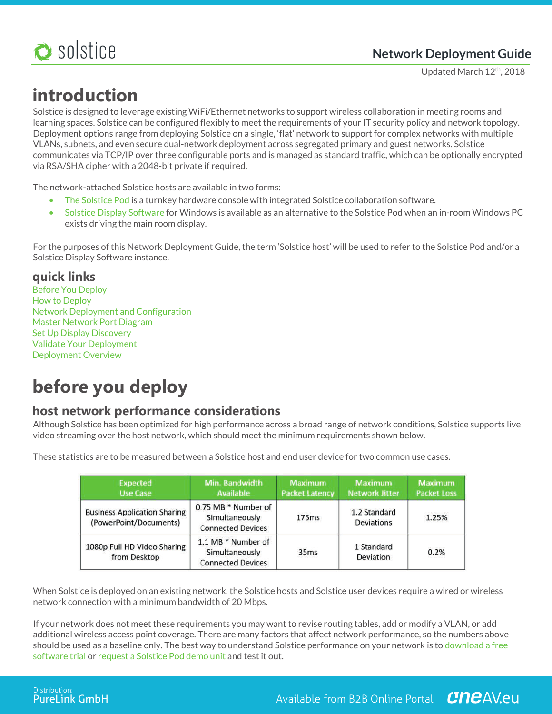

Updated March 12th, 2018

# **introduction**

Solstice is designed to leverage existing WiFi/Ethernet networks to support wireless collaboration in meeting rooms and learning spaces. Solstice can be configured flexibly to meet the requirements of your IT security policy and network topology. Deployment options range from deploying Solstice on a single, 'flat' network to support for complex networks with multiple VLANs, subnets, and even secure dual-network deployment across segregated primary and guest networks. Solstice communicates via TCP/IP over three configurable ports and is managed as standard traffic, which can be optionally encrypted via RSA/SHA cipher with a 2048-bit private if required.

The network-attached Solstice hosts are available in two forms:

- The Solstice Pod is a turnkey hardware console with integrated Solstice collaboration software.
- Solstice Display Software for Windows is available as an alternative to the Solstice Pod when an in-room Windows PC exists driving the main room display.

For the purposes of this Network Deployment Guide, the term 'Solstice host' will be used to refer to the Solstice Pod and/or a Solstice Display Software instance.

## **quick links**

Before You Deploy How to Deploy Network Deployment and Configuration Master Network Port Diagram Set Up Display Discovery Validate Your Deployment Deployment Overview

# **before you deploy**

## **host network performance considerations**

Although Solstice has been optimized for high performance across a broad range of network conditions, Solstice supports live video streaming over the host network, which should meet the minimum requirements shown below.

| <b>Expected</b><br>Use Case                                   | Min. Bandwidth<br><b>Available</b>                                | <b>Maximum</b><br><b>Packet Latency</b> | <b>Maximum</b><br><b>Network Jitter</b> | Maximum<br><b>Packet Loss</b> |
|---------------------------------------------------------------|-------------------------------------------------------------------|-----------------------------------------|-----------------------------------------|-------------------------------|
| <b>Business Application Sharing</b><br>(PowerPoint/Documents) | 0.75 MB * Number of<br>Simultaneously<br><b>Connected Devices</b> | 175ms                                   | 1.2 Standard<br>Deviations              | 1.25%                         |
| 1080p Full HD Video Sharing<br>from Desktop                   | 1.1 MB * Number of<br>Simultaneously<br><b>Connected Devices</b>  | 35 <sub>ms</sub>                        | 1 Standard<br>Deviation                 | 0.2%                          |

These statistics are to be measured between a Solstice host and end user device for two common use cases.

When Solstice is deployed on an existing network, the Solstice hosts and Solstice user devices require a wired or wireless network connection with a minimum bandwidth of 20 Mbps.

If your network does not meet these requirements you may want to revise routing tables, add or modify a VLAN, or add additional wireless access point coverage. There are many factors that affect network performance, so the numbers above should be used as a baseline only. The best way to understand Solstice performance on your network is to download a free software trial or request a Solstice Pod demo unit and test it out.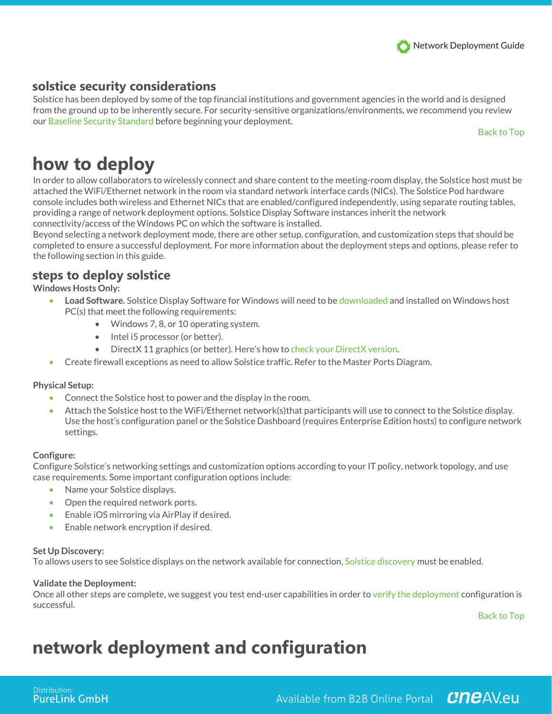## **solstice security considerations**

Solstice has been deployed by some of the top financial institutions and government agencies in the world and is designed from the ground up to be inherently secure. For security-sensitive organizations/environments, we recommend you review our Baseline Security Standard before beginning your deployment.

Back to Top

## **how to deploy**

In order to allow collaborators to wirelessly connect and share content to the meeting-room display, the Solstice host must be attached the WiFi/Ethernet network in the room via standard network interface cards (NICs). The Solstice Pod hardware console includes both wireless and Ethernet NICs that are enabled/configured independently, using separate routing tables, providing a range of network deployment options. Solstice Display Software instances inherit the network connectivity/access of the Windows PC on which the software is installed.

Beyond selecting a network deployment mode, there are other setup, configuration, and customization steps that should be completed to ensure a successful deployment. For more information about the deployment steps and options, please refer to the following section in this guide.

## **steps to deploy solstice**

**Windows Hosts Only:**

- **Load Software.** Solstice Display Software for Windows will need to be downloaded and installed on Windows host PC(s) that meet the following requirements:
	- Windows 7, 8, or 10 operating system.
	- Intel i5 processor (or better).
	- DirectX 11 graphics (or better). Here's how to check your DirectX version.
- Create firewall exceptions as need to allow Solstice traffic. Refer to the Master Ports Diagram.

#### **Physical Setup:**

- Connect the Solstice host to power and the display in the room.
- Attach the Solstice host to the WiFi/Ethernet network(s)that participants will use to connect to the Solstice display. Use the host's configuration panel or the Solstice Dashboard (requires Enterprise Edition hosts) to configure network settings.

#### **Configure:**

Configure Solstice's networking settings and customization options according to your IT policy, network topology, and use case requirements. Some important configuration options include:

- Name your Solstice displays.
- Open the required network ports.
- Enable iOS mirroring via AirPlay if desired.
- Enable network encryption if desired.

#### **Set Up Discovery:**

To allows users to see Solstice displays on the network available for connection, Solstice discovery must be enabled.

#### **Validate the Deployment:**

Once all other steps are complete, we suggest you test end-user capabilities in order to verify the deployment configuration is successful.

Back to Top

## **network deployment and configuration**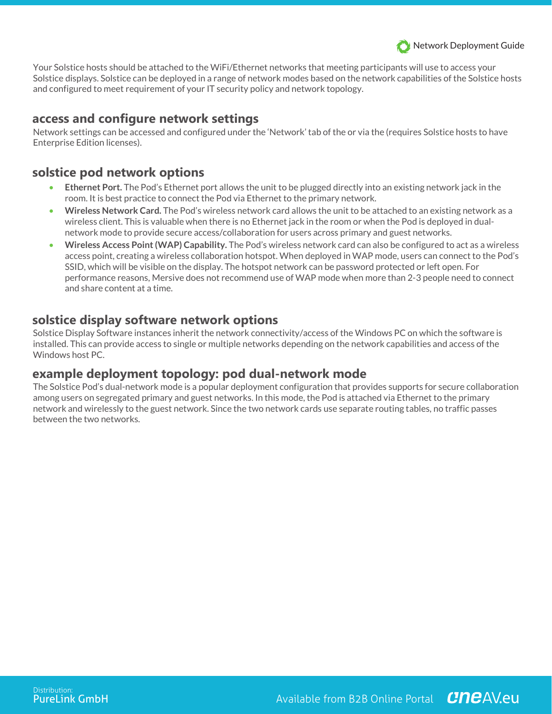

Your Solstice hosts should be attached to the WiFi/Ethernet networks that meeting participants will use to access your Solstice displays. Solstice can be deployed in a range of network modes based on the network capabilities of the Solstice hosts and configured to meet requirement of your IT security policy and network topology.

#### **access and configure network settings**

Network settings can be accessed and configured under the 'Network' tab of the or via the (requires Solstice hosts to have Enterprise Edition licenses).

### **solstice pod network options**

- **Ethernet Port.** The Pod's Ethernet port allows the unit to be plugged directly into an existing network jack in the room. It is best practice to connect the Pod via Ethernet to the primary network.
- **Wireless Network Card.** The Pod's wireless network card allows the unit to be attached to an existing network as a wireless client. This is valuable when there is no Ethernet jack in the room or when the Pod is deployed in dualnetwork mode to provide secure access/collaboration for users across primary and guest networks.
- **Wireless Access Point (WAP) Capability.** The Pod's wireless network card can also be configured to act as a wireless access point, creating a wireless collaboration hotspot. When deployed in WAP mode, users can connect to the Pod's SSID, which will be visible on the display. The hotspot network can be password protected or left open. For performance reasons, Mersive does not recommend use of WAP mode when more than 2-3 people need to connect and share content at a time.

### **solstice display software network options**

Solstice Display Software instances inherit the network connectivity/access of the Windows PC on which the software is installed. This can provide access to single or multiple networks depending on the network capabilities and access of the Windows host PC.

### **example deployment topology: pod dual-network mode**

The Solstice Pod's dual-network mode is a popular deployment configuration that provides supports for secure collaboration among users on segregated primary and guest networks. In this mode, the Pod is attached via Ethernet to the primary network and wirelessly to the guest network. Since the two network cards use separate routing tables, no traffic passes between the two networks.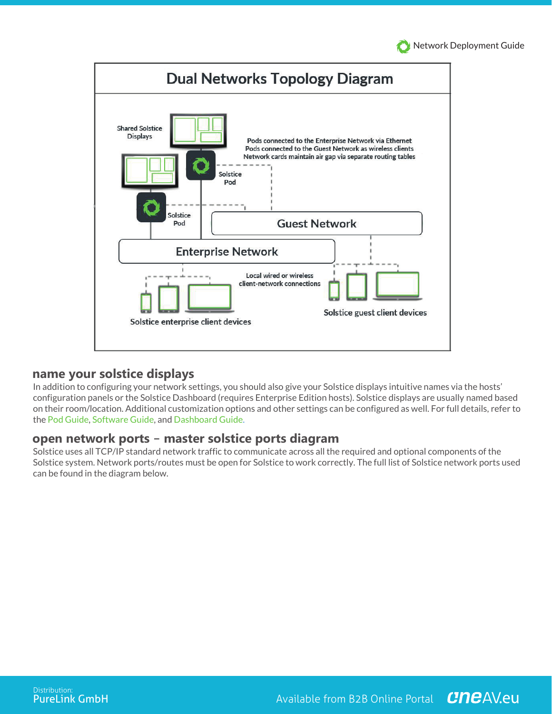Network Deployment Guide



#### **name your solstice displays**

In addition to configuring your network settings, you should also give your Solstice displays intuitive names via the hosts' configuration panels or the Solstice Dashboard (requires Enterprise Edition hosts). Solstice displays are usually named based on their room/location. Additional customization options and other settings can be configured as well. For full details, refer to the Pod Guide, Software Guide, and Dashboard Guide.

#### **open network ports – master solstice ports diagram**

Solstice uses all TCP/IP standard network traffic to communicate across all the required and optional components of the Solstice system. Network ports/routes must be open for Solstice to work correctly. The full list of Solstice network ports used can be found in the diagram below.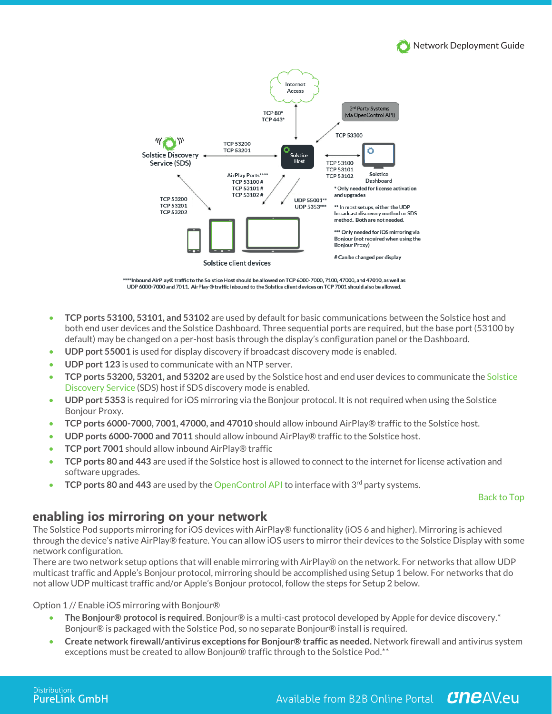



\*\*\*\*Inbound AirPlay® traffic to the Solstice Host should be allowed on TCP 6000-7000, 7100, 47000, and 47010, as well as UDP 6000-7000 and 7011. AirPlay ® traffic inbound to the Solstice client devices on TCP 7001 should also be allowed.

- **TCP ports 53100, 53101, and 53102** are used by default for basic communications between the Solstice host and both end user devices and the Solstice Dashboard. Three sequential ports are required, but the base port (53100 by default) may be changed on a per-host basis through the display's configuration panel or the Dashboard.
- **UDP port 55001** is used for display discovery if broadcast discovery mode is enabled.
- **UDP port 123** is used to communicate with an NTP server.
- **TCP ports 53200, 53201, and 53202 a**re used by the Solstice host and end user devices to communicate the Solstice Discovery Service (SDS) host if SDS discovery mode is enabled.
- **UDP port 5353** is required for iOS mirroring via the Bonjour protocol. It is not required when using the Solstice Bonjour Proxy.
- **TCP ports 6000-7000, 7001, 47000, and 47010** should allow inbound AirPlay® traffic to the Solstice host.
- **UDP ports 6000-7000 and 7011** should allow inbound AirPlay® traffic to the Solstice host.
- **TCP port 7001** should allow inbound AirPlay® traffic
- **TCP ports 80 and 443** are used if the Solstice host is allowed to connect to the internet for license activation and software upgrades.
- **TCP ports 80 and 443** are used by the OpenControl API to interface with 3<sup>rd</sup> party systems.

#### Back to Top

#### **enabling ios mirroring on your network**

The Solstice Pod supports mirroring for iOS devices with AirPlay® functionality (iOS 6 and higher). Mirroring is achieved through the device's native AirPlay® feature. You can allow iOS users to mirror their devices to the Solstice Display with some network configuration.

There are two network setup options that will enable mirroring with AirPlay® on the network. For networks that allow UDP multicast traffic and Apple's Bonjour protocol, mirroring should be accomplished using Setup 1 below. For networks that do not allow UDP multicast traffic and/or Apple's Bonjour protocol, follow the steps for Setup 2 below.

Option 1 // Enable iOS mirroring with Bonjour®

- **The Bonjour® protocol is required**. Bonjour® is a multi-cast protocol developed by Apple for device discovery.\* Bonjour® is packaged with the Solstice Pod, so no separate Bonjour® install is required.
- **Create network firewall/antivirus exceptions for Bonjour® traffic as needed.** Network firewall and antivirus system exceptions must be created to allow Bonjour® traffic through to the Solstice Pod.\*\*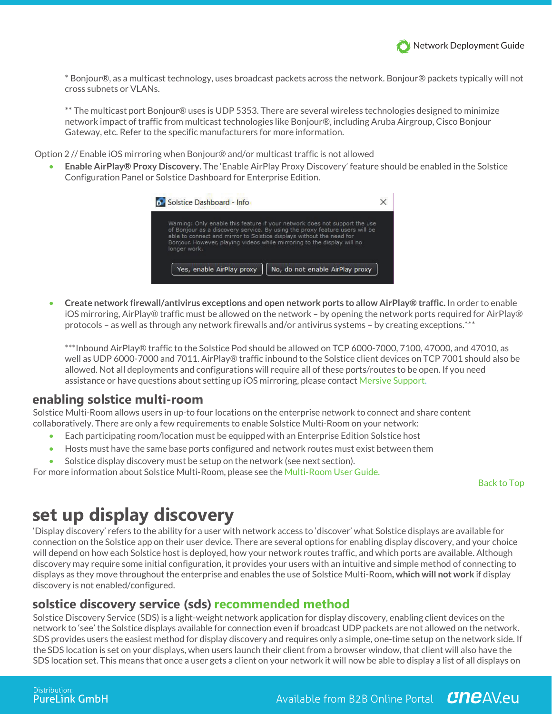\* Bonjour®, as a multicast technology, uses broadcast packets across the network. Bonjour® packets typically will not cross subnets or VLANs.

\*\* The multicast port Bonjour® uses is UDP 5353. There are several wireless technologies designed to minimize network impact of traffic from multicast technologies like Bonjour®, including Aruba Airgroup, Cisco Bonjour Gateway, etc. Refer to the specific manufacturers for more information.

Option 2 // Enable iOS mirroring when Bonjour® and/or multicast traffic is not allowed

• **Enable AirPlay® Proxy Discovery.** The 'Enable AirPlay Proxy Discovery' feature should be enabled in the Solstice Configuration Panel or Solstice Dashboard for Enterprise Edition.



• **Create network firewall/antivirus exceptions and open network ports to allow AirPlay® traffic.** In order to enable iOS mirroring, AirPlay® traffic must be allowed on the network – by opening the network ports required for AirPlay® protocols – as well as through any network firewalls and/or antivirus systems – by creating exceptions.\*\*\*

\*\*\*Inbound AirPlay® traffic to the Solstice Pod should be allowed on TCP 6000-7000, 7100, 47000, and 47010, as well as UDP 6000-7000 and 7011. AirPlay® traffic inbound to the Solstice client devices on TCP 7001 should also be allowed. Not all deployments and configurations will require all of these ports/routes to be open. If you need assistance or have questions about setting up iOS mirroring, please contact Mersive Support.

#### **enabling solstice multi-room**

Solstice Multi-Room allows users in up-to four locations on the enterprise network to connect and share content collaboratively. There are only a few requirements to enable Solstice Multi-Room on your network:

- Each participating room/location must be equipped with an Enterprise Edition Solstice host
- Hosts must have the same base ports configured and network routes must exist between them
- Solstice display discovery must be setup on the network (see next section).

For more information about Solstice Multi-Room, please see the Multi-Room User Guide.

Back to Top

## **set up display discovery**

'Display discovery' refers to the ability for a user with network access to 'discover' what Solstice displays are available for connection on the Solstice app on their user device. There are several options for enabling display discovery, and your choice will depend on how each Solstice host is deployed, how your network routes traffic, and which ports are available. Although discovery may require some initial configuration, it provides your users with an intuitive and simple method of connecting to displays as they move throughout the enterprise and enables the use of Solstice Multi-Room**, which will not work** if display discovery is not enabled/configured.

#### **solstice discovery service (sds)recommended method**

Solstice Discovery Service (SDS) is a light-weight network application for display discovery, enabling client devices on the network to 'see' the Solstice displays available for connection even if broadcast UDP packets are not allowed on the network. SDS provides users the easiest method for display discovery and requires only a simple, one-time setup on the network side. If the SDS location is set on your displays, when users launch their client from a browser window, that client will also have the SDS location set. This means that once a user gets a client on your network it will now be able to display a list of all displays on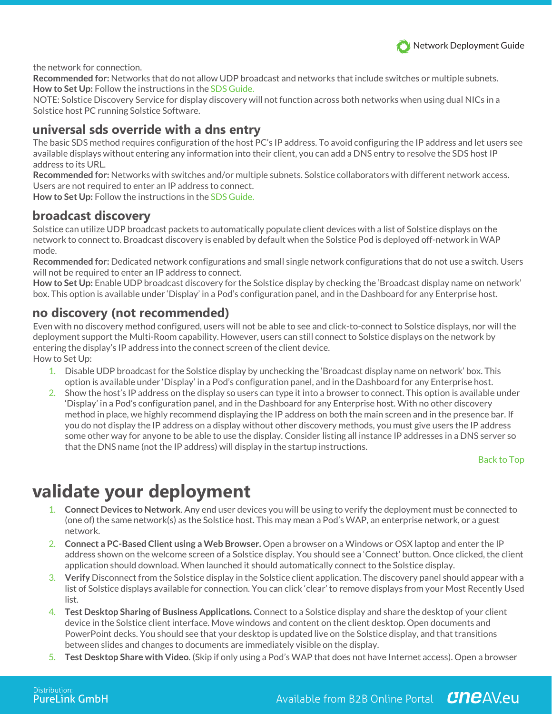

the network for connection.

**Recommended for:** Networks that do not allow UDP broadcast and networks that include switches or multiple subnets. **How to Set Up:** Follow the instructions in the SDS Guide.

NOTE: Solstice Discovery Service for display discovery will not function across both networks when using dual NICs in a Solstice host PC running Solstice Software.

### **universal sds override with a dns entry**

The basic SDS method requires configuration of the host PC's IP address. To avoid configuring the IP address and let users see available displays without entering any information into their client, you can add a DNS entry to resolve the SDS host IP address to its URL.

**Recommended for:** Networks with switches and/or multiple subnets. Solstice collaborators with different network access. Users are not required to enter an IP address to connect.

**How to Set Up:** Follow the instructions in the SDS Guide.

### **broadcast discovery**

Solstice can utilize UDP broadcast packets to automatically populate client devices with a list of Solstice displays on the network to connect to. Broadcast discovery is enabled by default when the Solstice Pod is deployed off-network in WAP mode.

**Recommended for:** Dedicated network configurations and small single network configurations that do not use a switch. Users will not be required to enter an IP address to connect.

**How to Set Up:** Enable UDP broadcast discovery for the Solstice display by checking the 'Broadcast display name on network' box. This option is available under 'Display' in a Pod's configuration panel, and in the Dashboard for any Enterprise host.

#### **no discovery (not recommended)**

Even with no discovery method configured, users will not be able to see and click-to-connect to Solstice displays, nor will the deployment support the Multi-Room capability. However, users can still connect to Solstice displays on the network by entering the display's IP address into the connect screen of the client device. How to Set Up:

- 1. Disable UDP broadcast for the Solstice display by unchecking the 'Broadcast display name on network' box. This option is available under 'Display' in a Pod's configuration panel, and in the Dashboard for any Enterprise host.
- 2. Show the host's IP address on the display so users can type it into a browser to connect. This option is available under 'Display' in a Pod's configuration panel, and in the Dashboard for any Enterprise host. With no other discovery method in place, we highly recommend displaying the IP address on both the main screen and in the presence bar. If you do not display the IP address on a display without other discovery methods, you must give users the IP address some other way for anyone to be able to use the display. Consider listing all instance IP addresses in a DNS server so that the DNS name (not the IP address) will display in the startup instructions.

Back to Top

## **validate your deployment**

- 1. **Connect Devices to Network**. Any end user devices you will be using to verify the deployment must be connected to (one of) the same network(s) as the Solstice host. This may mean a Pod's WAP, an enterprise network, or a guest network.
- 2. **Connect a PC-Based Client using a Web Browser.** Open a browser on a Windows or OSX laptop and enter the IP address shown on the welcome screen of a Solstice display. You should see a 'Connect' button. Once clicked, the client application should download. When launched it should automatically connect to the Solstice display.
- 3. **Verify** Disconnect from the Solstice display in the Solstice client application. The discovery panel should appear with a list of Solstice displays available for connection. You can click 'clear' to remove displays from your Most Recently Used list.
- 4. **Test Desktop Sharing of Business Applications.** Connect to a Solstice display and share the desktop of your client device in the Solstice client interface. Move windows and content on the client desktop. Open documents and PowerPoint decks. You should see that your desktop is updated live on the Solstice display, and that transitions between slides and changes to documents are immediately visible on the display.
- 5. **Test Desktop Share with Video**. (Skip if only using a Pod's WAP that does not have Internet access). Open a browser

Available from B2B Online Portal CneAV.eu